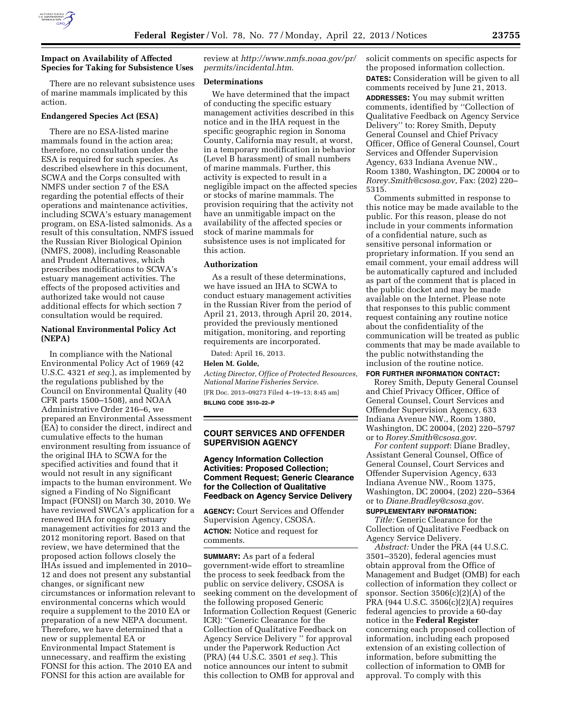

# **Impact on Availability of Affected Species for Taking for Subsistence Uses**

There are no relevant subsistence uses of marine mammals implicated by this action.

# **Endangered Species Act (ESA)**

There are no ESA-listed marine mammals found in the action area; therefore, no consultation under the ESA is required for such species. As described elsewhere in this document, SCWA and the Corps consulted with NMFS under section 7 of the ESA regarding the potential effects of their operations and maintenance activities, including SCWA's estuary management program, on ESA-listed salmonids. As a result of this consultation, NMFS issued the Russian River Biological Opinion (NMFS, 2008), including Reasonable and Prudent Alternatives, which prescribes modifications to SCWA's estuary management activities. The effects of the proposed activities and authorized take would not cause additional effects for which section 7 consultation would be required.

### **National Environmental Policy Act (NEPA)**

In compliance with the National Environmental Policy Act of 1969 (42 U.S.C. 4321 *et seq.*), as implemented by the regulations published by the Council on Environmental Quality (40 CFR parts 1500–1508), and NOAA Administrative Order 216–6, we prepared an Environmental Assessment (EA) to consider the direct, indirect and cumulative effects to the human environment resulting from issuance of the original IHA to SCWA for the specified activities and found that it would not result in any significant impacts to the human environment. We signed a Finding of No Significant Impact (FONSI) on March 30, 2010. We have reviewed SWCA's application for a renewed IHA for ongoing estuary management activities for 2013 and the 2012 monitoring report. Based on that review, we have determined that the proposed action follows closely the IHAs issued and implemented in 2010– 12 and does not present any substantial changes, or significant new circumstances or information relevant to environmental concerns which would require a supplement to the 2010 EA or preparation of a new NEPA document. Therefore, we have determined that a new or supplemental EA or Environmental Impact Statement is unnecessary, and reaffirm the existing FONSI for this action. The 2010 EA and FONSI for this action are available for

review at *[http://www.nmfs.noaa.gov/pr/](http://www.nmfs.noaa.gov/pr/permits/incidental.htm) [permits/incidental.htm](http://www.nmfs.noaa.gov/pr/permits/incidental.htm)*.

## **Determinations**

We have determined that the impact of conducting the specific estuary management activities described in this notice and in the IHA request in the specific geographic region in Sonoma County, California may result, at worst, in a temporary modification in behavior (Level B harassment) of small numbers of marine mammals. Further, this activity is expected to result in a negligible impact on the affected species or stocks of marine mammals. The provision requiring that the activity not have an unmitigable impact on the availability of the affected species or stock of marine mammals for subsistence uses is not implicated for this action.

#### **Authorization**

As a result of these determinations, we have issued an IHA to SCWA to conduct estuary management activities in the Russian River from the period of April 21, 2013, through April 20, 2014, provided the previously mentioned mitigation, monitoring, and reporting requirements are incorporated.

Dated: April 16, 2013.

## **Helen M. Golde,**

*Acting Director, Office of Protected Resources, National Marine Fisheries Service.*  [FR Doc. 2013–09273 Filed 4–19–13; 8:45 am] **BILLING CODE 3510–22–P** 

# **COURT SERVICES AND OFFENDER SUPERVISION AGENCY**

## **Agency Information Collection Activities: Proposed Collection; Comment Request; Generic Clearance for the Collection of Qualitative Feedback on Agency Service Delivery**

**AGENCY:** Court Services and Offender Supervision Agency, CSOSA. **ACTION:** Notice and request for comments.

**SUMMARY:** As part of a federal government-wide effort to streamline the process to seek feedback from the public on service delivery, CSOSA is seeking comment on the development of the following proposed Generic Information Collection Request (Generic ICR): ''Generic Clearance for the Collection of Qualitative Feedback on Agency Service Delivery '' for approval under the Paperwork Reduction Act (PRA) (44 U.S.C. 3501 *et seq.*). This notice announces our intent to submit this collection to OMB for approval and

solicit comments on specific aspects for the proposed information collection. **DATES:** Consideration will be given to all comments received by June 21, 2013. **ADDRESSES:** You may submit written comments, identified by ''Collection of Qualitative Feedback on Agency Service Delivery'' to: Rorey Smith, Deputy General Counsel and Chief Privacy Officer, Office of General Counsel, Court Services and Offender Supervision Agency, 633 Indiana Avenue NW., Room 1380, Washington, DC 20004 or to *[Rorey.Smith@csosa.gov](mailto:Rorey.Smith@csosa.gov)*, Fax: (202) 220– 5315.

Comments submitted in response to this notice may be made available to the public. For this reason, please do not include in your comments information of a confidential nature, such as sensitive personal information or proprietary information. If you send an email comment, your email address will be automatically captured and included as part of the comment that is placed in the public docket and may be made available on the Internet. Please note that responses to this public comment request containing any routine notice about the confidentiality of the communication will be treated as public comments that may be made available to the public notwithstanding the inclusion of the routine notice.

# **FOR FURTHER INFORMATION CONTACT:**

Rorey Smith, Deputy General Counsel and Chief Privacy Officer, Office of General Counsel, Court Services and Offender Supervision Agency, 633 Indiana Avenue NW., Room 1380, Washington, DC 20004, (202) 220–5797 or to *[Rorey.Smith@csosa.gov](mailto:Rorey.Smith@csosa.gov)*.

*For content support*: Diane Bradley, Assistant General Counsel, Office of General Counsel, Court Services and Offender Supervision Agency, 633 Indiana Avenue NW., Room 1375, Washington, DC 20004, (202) 220–5364 or to *[Diane.Bradley@csosa.gov](mailto:Diane.Bradley@csosa.gov)*.

#### **SUPPLEMENTARY INFORMATION:**

*Title:* Generic Clearance for the Collection of Qualitative Feedback on Agency Service Delivery.

*Abstract:* Under the PRA (44 U.S.C. 3501–3520), federal agencies must obtain approval from the Office of Management and Budget (OMB) for each collection of information they collect or sponsor. Section 3506(c)(2)(A) of the PRA (944 U.S.C. 3506(c)(2)(A) requires federal agencies to provide a 60-day notice in the **Federal Register**  concerning each proposed collection of information, including each proposed extension of an existing collection of information, before submitting the collection of information to OMB for approval. To comply with this